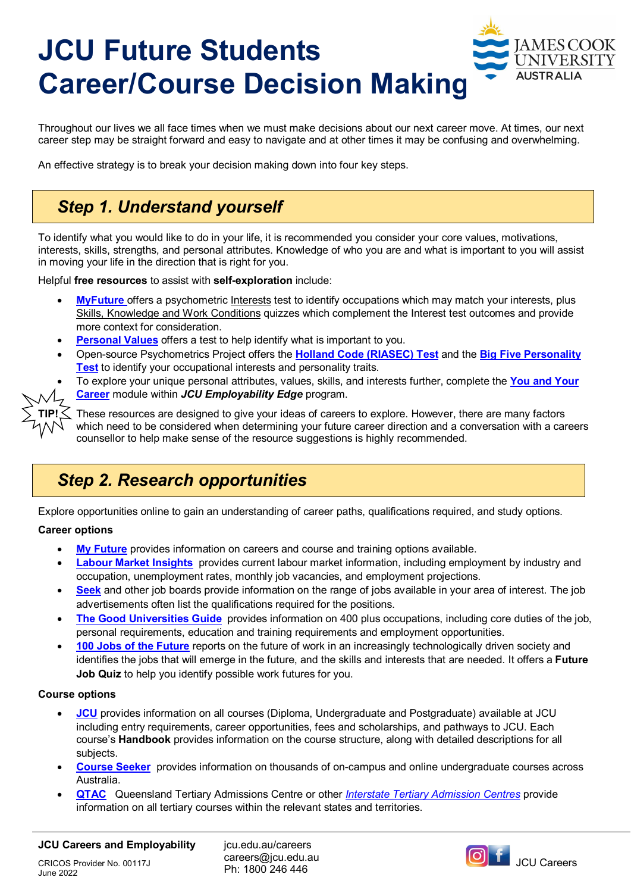### **JCU Future Students JAMES COOK AUSTRALIA Career/Course Decision Making**

Throughout our lives we all face times when we must make decisions about our next career move. At times, our next career step may be straight forward and easy to navigate and at other times it may be confusing and overwhelming.

An effective strategy is to break your decision making down into four key steps.

## *Step 1. Understand yourself*

To identify what you would like to do in your life, it is recommended you consider your core values, motivations, interests, skills, strengths, and personal attributes. Knowledge of who you are and what is important to you will assist in moving your life in the direction that is right for you.

Helpful **free resources** to assist with **self-exploration** include:

- **[MyFuture](https://myfuture.edu.au/)** offers a psychometric Interests test to identify occupations which may match your interests, plus Skills, Knowledge and Work Conditions quizzes which complement the Interest test outcomes and provide more context for consideration.
- **[Personal Values](https://personalvalu.es/)** offers a test to help identify what is important to you.
- Open-source Psychometrics Project offers the **[Holland Code \(RIASEC\) Test](https://openpsychometrics.org/tests/RIASEC/)** and the **[Big Five Personality](https://openpsychometrics.org/tests/IPIP-BFFM/) [Test](https://openpsychometrics.org/tests/IPIP-BFFM/)** to identify your occupational interests and personality traits.
- To explore your unique personal attributes, values, skills, and interests further, complete the **You and Your Career** module within *JCU Employability Edge* program.



These resources are designed to give your ideas of careers to explore. However, there are many factors which need to be considered when determining your future career direction and a conversation with a careers counsellor to help make sense of the resource suggestions is highly recommended.

# *Step 2. Research opportunities*

Explore opportunities online to gain an understanding of career paths, qualifications required, and study options.

#### **Career options**

- **My [Future](https://myfuture.edu.au/)** provides information on careers and course and training options available.
- **[Labour Market Insights](https://labourmarketinsights.gov.au/)** provides current labour market information, including employment by industry and occupation, unemployment rates, monthly job vacancies, and employment projections.
- **[Seek](https://www.seek.com.au/)** and other job boards provide information on the range of jobs available in your area of interest. The job advertisements often list the qualifications required for the positions.
- **[The Good Universities Guide](https://www.gooduniversitiesguide.com.au/)** provides information on 400 plus occupations, including core duties of the job, personal requirements, education and training requirements and employment opportunities.
- **[100 Jobs of the Future](https://100jobsofthefuture.com/)** reports on the future of work in an increasingly technologically driven society and identifies the jobs that will emerge in the future, and the skills and interests that are needed. It offers a **Future Job Quiz** to help you identify possible work futures for you.

#### **Course options**

- **[JCU](http://www.jcu.edu.au/)** provides information on all courses (Diploma, Undergraduate and Postgraduate) available at JCU including entry requirements, career opportunities, fees and scholarships, and pathways to JCU. Each course's **Handbook** provides information on the course structure, along with detailed descriptions for all subjects.
- **[Course Seeker](https://www.courseseeker.edu.au/)**provides information on thousands of on-campus and online undergraduate courses across Australia.
- **[QTAC](https://www.qtac.edu.au/)**Queensland Tertiary Admissions Centre or other *[Interstate Tertiary Admission Centres](https://www.qtac.edu.au/applications/)* provide information on all tertiary courses within the relevant states and territories.